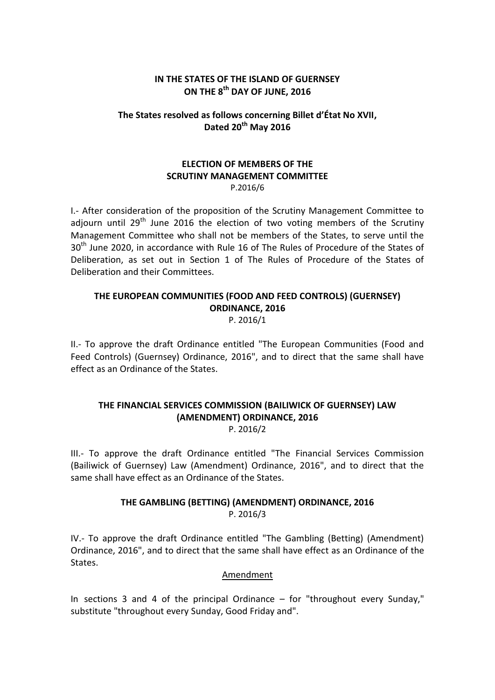### **IN THE STATES OF THE ISLAND OF GUERNSEY ON THE 8th DAY OF JUNE, 2016**

# **The States resolved as follows concerning Billet d'État No XVII, Dated 20th May 2016**

#### **ELECTION OF MEMBERS OF THE SCRUTINY MANAGEMENT COMMITTEE** P.2016/6

I.- After consideration of the proposition of the Scrutiny Management Committee to adjourn until 29<sup>th</sup> June 2016 the election of two voting members of the Scrutiny Management Committee who shall not be members of the States, to serve until the 30<sup>th</sup> June 2020, in accordance with Rule 16 of The Rules of Procedure of the States of Deliberation, as set out in Section 1 of The Rules of Procedure of the States of Deliberation and their Committees.

# **THE EUROPEAN COMMUNITIES (FOOD AND FEED CONTROLS) (GUERNSEY) ORDINANCE, 2016**

P. 2016/1

II.- To approve the draft Ordinance entitled "The European Communities (Food and Feed Controls) (Guernsey) Ordinance, 2016", and to direct that the same shall have effect as an Ordinance of the States.

# **THE FINANCIAL SERVICES COMMISSION (BAILIWICK OF GUERNSEY) LAW (AMENDMENT) ORDINANCE, 2016**

P. 2016/2

III.- To approve the draft Ordinance entitled "The Financial Services Commission (Bailiwick of Guernsey) Law (Amendment) Ordinance, 2016", and to direct that the same shall have effect as an Ordinance of the States.

# **THE GAMBLING (BETTING) (AMENDMENT) ORDINANCE, 2016** P. 2016/3

IV.- To approve the draft Ordinance entitled "The Gambling (Betting) (Amendment) Ordinance, 2016", and to direct that the same shall have effect as an Ordinance of the States.

### Amendment

In sections 3 and 4 of the principal Ordinance – for "throughout every Sunday," substitute "throughout every Sunday, Good Friday and".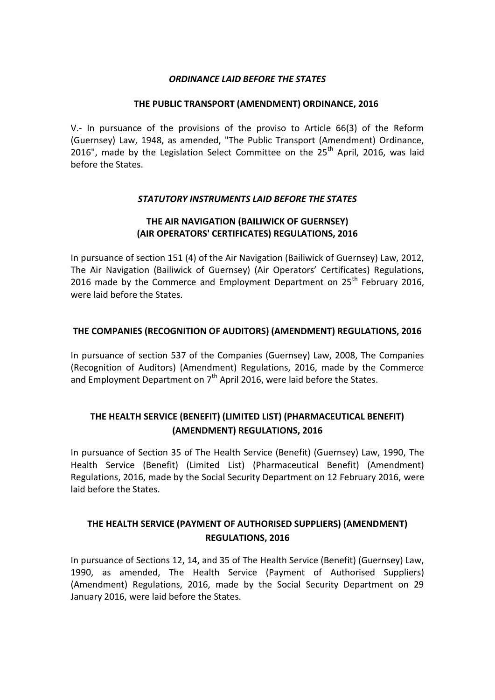### *ORDINANCE LAID BEFORE THE STATES*

#### **THE PUBLIC TRANSPORT (AMENDMENT) ORDINANCE, 2016**

V.- In pursuance of the provisions of the proviso to Article 66(3) of the Reform (Guernsey) Law, 1948, as amended, "The Public Transport (Amendment) Ordinance, 2016", made by the Legislation Select Committee on the  $25<sup>th</sup>$  April, 2016, was laid before the States.

### *STATUTORY INSTRUMENTS LAID BEFORE THE STATES*

### **THE AIR NAVIGATION (BAILIWICK OF GUERNSEY) (AIR OPERATORS' CERTIFICATES) REGULATIONS, 2016**

In pursuance of section 151 (4) of the Air Navigation (Bailiwick of Guernsey) Law, 2012, The Air Navigation (Bailiwick of Guernsey) (Air Operators' Certificates) Regulations, 2016 made by the Commerce and Employment Department on  $25<sup>th</sup>$  February 2016, were laid before the States.

### **THE COMPANIES (RECOGNITION OF AUDITORS) (AMENDMENT) REGULATIONS, 2016**

In pursuance of section 537 of the Companies (Guernsey) Law, 2008, The Companies (Recognition of Auditors) (Amendment) Regulations, 2016, made by the Commerce and Employment Department on  $7<sup>th</sup>$  April 2016, were laid before the States.

# **THE HEALTH SERVICE (BENEFIT) (LIMITED LIST) (PHARMACEUTICAL BENEFIT) (AMENDMENT) REGULATIONS, 2016**

In pursuance of Section 35 of The Health Service (Benefit) (Guernsey) Law, 1990, The Health Service (Benefit) (Limited List) (Pharmaceutical Benefit) (Amendment) Regulations, 2016, made by the Social Security Department on 12 February 2016, were laid before the States.

# **THE HEALTH SERVICE (PAYMENT OF AUTHORISED SUPPLIERS) (AMENDMENT) REGULATIONS, 2016**

In pursuance of Sections 12, 14, and 35 of The Health Service (Benefit) (Guernsey) Law, 1990, as amended, The Health Service (Payment of Authorised Suppliers) (Amendment) Regulations, 2016, made by the Social Security Department on 29 January 2016, were laid before the States.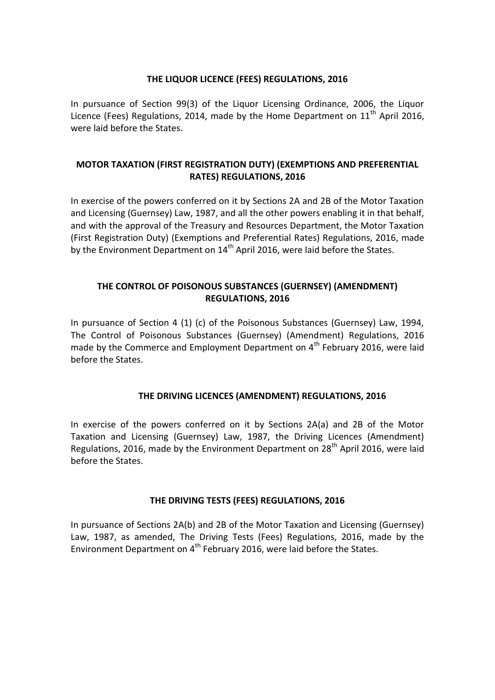### **THE LIQUOR LICENCE (FEES) REGULATIONS, 2016**

In pursuance of Section 99(3) of the Liquor Licensing Ordinance, 2006, the Liquor Licence (Fees) Regulations, 2014, made by the Home Department on  $11<sup>th</sup>$  April 2016, were laid before the States.

# **MOTOR TAXATION (FIRST REGISTRATION DUTY) (EXEMPTIONS AND PREFERENTIAL RATES) REGULATIONS, 2016**

In exercise of the powers conferred on it by Sections 2A and 2B of the Motor Taxation and Licensing (Guernsey) Law, 1987, and all the other powers enabling it in that behalf, and with the approval of the Treasury and Resources Department, the Motor Taxation (First Registration Duty) (Exemptions and Preferential Rates) Regulations, 2016, made by the Environment Department on  $14<sup>th</sup>$  April 2016, were laid before the States.

# **THE CONTROL OF POISONOUS SUBSTANCES (GUERNSEY) (AMENDMENT) REGULATIONS, 2016**

In pursuance of Section 4 (1) (c) of the Poisonous Substances (Guernsey) Law, 1994, The Control of Poisonous Substances (Guernsey) (Amendment) Regulations, 2016 made by the Commerce and Employment Department on  $4<sup>th</sup>$  February 2016, were laid before the States.

# **THE DRIVING LICENCES (AMENDMENT) REGULATIONS, 2016**

In exercise of the powers conferred on it by Sections 2A(a) and 2B of the Motor Taxation and Licensing (Guernsey) Law, 1987, the Driving Licences (Amendment) Regulations, 2016, made by the Environment Department on  $28<sup>th</sup>$  April 2016, were laid before the States.

# **THE DRIVING TESTS (FEES) REGULATIONS, 2016**

In pursuance of Sections 2A(b) and 2B of the Motor Taxation and Licensing (Guernsey) Law, 1987, as amended, The Driving Tests (Fees) Regulations, 2016, made by the Environment Department on  $4<sup>th</sup>$  February 2016, were laid before the States.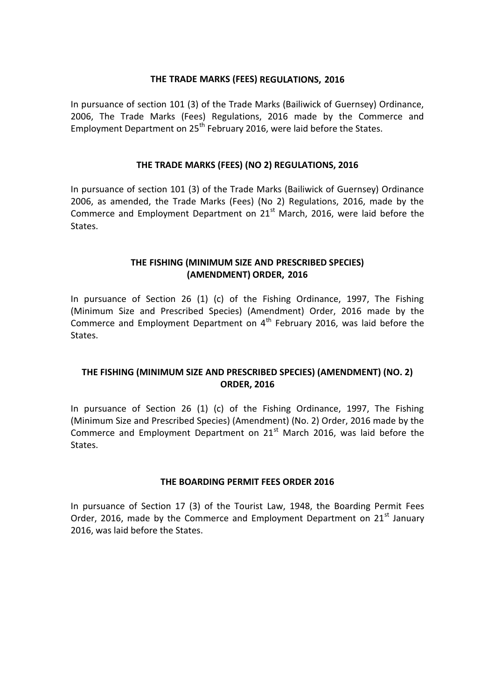#### **THE TRADE MARKS (FEES) REGULATIONS, 2016**

In pursuance of section 101 (3) of the Trade Marks (Bailiwick of Guernsey) Ordinance, 2006, The Trade Marks (Fees) Regulations, 2016 made by the Commerce and Employment Department on 25<sup>th</sup> February 2016, were laid before the States.

### **THE TRADE MARKS (FEES) (NO 2) REGULATIONS, 2016**

In pursuance of section 101 (3) of the Trade Marks (Bailiwick of Guernsey) Ordinance 2006, as amended, the Trade Marks (Fees) (No 2) Regulations, 2016, made by the Commerce and Employment Department on  $21<sup>st</sup>$  March, 2016, were laid before the States.

# **THE FISHING (MINIMUM SIZE AND PRESCRIBED SPECIES) (AMENDMENT) ORDER, 2016**

In pursuance of Section 26 (1) (c) of the Fishing Ordinance, 1997, The Fishing (Minimum Size and Prescribed Species) (Amendment) Order, 2016 made by the Commerce and Employment Department on  $4<sup>th</sup>$  February 2016, was laid before the States.

# **THE FISHING (MINIMUM SIZE AND PRESCRIBED SPECIES) (AMENDMENT) (NO. 2) ORDER, 2016**

In pursuance of Section 26 (1) (c) of the Fishing Ordinance, 1997, The Fishing (Minimum Size and Prescribed Species) (Amendment) (No. 2) Order, 2016 made by the Commerce and Employment Department on  $21<sup>st</sup>$  March 2016, was laid before the States.

### **THE BOARDING PERMIT FEES ORDER 2016**

In pursuance of Section 17 (3) of the Tourist Law, 1948, the Boarding Permit Fees Order, 2016, made by the Commerce and Employment Department on  $21<sup>st</sup>$  January 2016, was laid before the States.